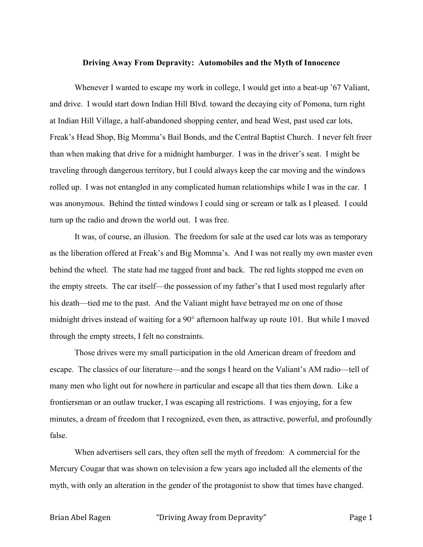## **Driving Away From Depravity: Automobiles and the Myth of Innocence**

Whenever I wanted to escape my work in college, I would get into a beat-up '67 Valiant, and drive. I would start down Indian Hill Blvd. toward the decaying city of Pomona, turn right at Indian Hill Village, a half-abandoned shopping center, and head West, past used car lots, Freak's Head Shop, Big Momma's Bail Bonds, and the Central Baptist Church. I never felt freer than when making that drive for a midnight hamburger. I was in the driver's seat. I might be traveling through dangerous territory, but I could always keep the car moving and the windows rolled up. I was not entangled in any complicated human relationships while I was in the car. I was anonymous. Behind the tinted windows I could sing or scream or talk as I pleased. I could turn up the radio and drown the world out. I was free.

It was, of course, an illusion. The freedom for sale at the used car lots was as temporary as the liberation offered at Freak's and Big Momma's. And I was not really my own master even behind the wheel. The state had me tagged front and back. The red lights stopped me even on the empty streets. The car itself—the possession of my father's that I used most regularly after his death—tied me to the past. And the Valiant might have betrayed me on one of those midnight drives instead of waiting for a 90° afternoon halfway up route 101. But while I moved through the empty streets, I felt no constraints.

Those drives were my small participation in the old American dream of freedom and escape. The classics of our literature—and the songs I heard on the Valiant's AM radio—tell of many men who light out for nowhere in particular and escape all that ties them down. Like a frontiersman or an outlaw trucker, I was escaping all restrictions. I was enjoying, for a few minutes, a dream of freedom that I recognized, even then, as attractive, powerful, and profoundly false.

When advertisers sell cars, they often sell the myth of freedom: A commercial for the Mercury Cougar that was shown on television a few years ago included all the elements of the myth, with only an alteration in the gender of the protagonist to show that times have changed.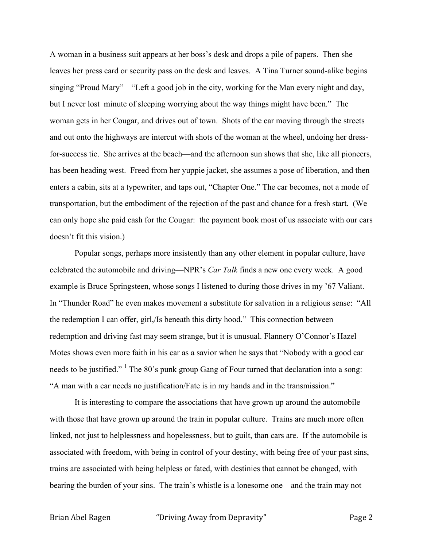A woman in a business suit appears at her boss's desk and drops a pile of papers. Then she leaves her press card or security pass on the desk and leaves. A Tina Turner sound-alike begins singing "Proud Mary"—"Left a good job in the city, working for the Man every night and day, but I never lost minute of sleeping worrying about the way things might have been." The woman gets in her Cougar, and drives out of town. Shots of the car moving through the streets and out onto the highways are intercut with shots of the woman at the wheel, undoing her dressfor-success tie. She arrives at the beach—and the afternoon sun shows that she, like all pioneers, has been heading west. Freed from her yuppie jacket, she assumes a pose of liberation, and then enters a cabin, sits at a typewriter, and taps out, "Chapter One." The car becomes, not a mode of transportation, but the embodiment of the rejection of the past and chance for a fresh start. (We can only hope she paid cash for the Cougar: the payment book most of us associate with our cars doesn't fit this vision.)

Popular songs, perhaps more insistently than any other element in popular culture, have celebrated the automobile and driving—NPR's *Car Talk* finds a new one every week. A good example is Bruce Springsteen, whose songs I listened to during those drives in my '67 Valiant. In "Thunder Road" he even makes movement a substitute for salvation in a religious sense: "All the redemption I can offer, girl,/Is beneath this dirty hood." This connection between redemption and driving fast may seem strange, but it is unusual. Flannery O'Connor's Hazel Motes shows even more faith in his car as a savior when he says that "Nobody with a good car needs to be justified."  $\frac{1}{1}$  The 80's punk group Gang of Four turned that declaration into a song: "A man with a car needs no justification/Fate is in my hands and in the transmission."

It is interesting to compare the associations that have grown up around the automobile with those that have grown up around the train in popular culture. Trains are much more often linked, not just to helplessness and hopelessness, but to guilt, than cars are. If the automobile is associated with freedom, with being in control of your destiny, with being free of your past sins, trains are associated with being helpless or fated, with destinies that cannot be changed, with bearing the burden of your sins. The train's whistle is a lonesome one—and the train may not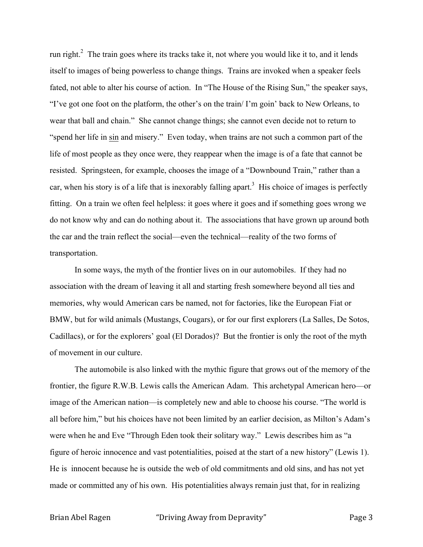run right.<sup>2</sup> The train goes where its tracks take it, not where you would like it to, and it lends itself to images of being powerless to change things. Trains are invoked when a speaker feels fated, not able to alter his course of action. In "The House of the Rising Sun," the speaker says, "I've got one foot on the platform, the other's on the train/ I'm goin' back to New Orleans, to wear that ball and chain." She cannot change things; she cannot even decide not to return to "spend her life in sin and misery." Even today, when trains are not such a common part of the life of most people as they once were, they reappear when the image is of a fate that cannot be resisted. Springsteen, for example, chooses the image of a "Downbound Train," rather than a car, when his story is of a life that is inexorably falling apart.<sup>3</sup> His choice of images is perfectly fitting. On a train we often feel helpless: it goes where it goes and if something goes wrong we do not know why and can do nothing about it. The associations that have grown up around both the car and the train reflect the social—even the technical—reality of the two forms of transportation.

In some ways, the myth of the frontier lives on in our automobiles. If they had no association with the dream of leaving it all and starting fresh somewhere beyond all ties and memories, why would American cars be named, not for factories, like the European Fiat or BMW, but for wild animals (Mustangs, Cougars), or for our first explorers (La Salles, De Sotos, Cadillacs), or for the explorers' goal (El Dorados)? But the frontier is only the root of the myth of movement in our culture.

The automobile is also linked with the mythic figure that grows out of the memory of the frontier, the figure R.W.B. Lewis calls the American Adam. This archetypal American hero—or image of the American nation—is completely new and able to choose his course. "The world is all before him," but his choices have not been limited by an earlier decision, as Milton's Adam's were when he and Eve "Through Eden took their solitary way." Lewis describes him as "a figure of heroic innocence and vast potentialities, poised at the start of a new history" (Lewis 1). He is innocent because he is outside the web of old commitments and old sins, and has not yet made or committed any of his own. His potentialities always remain just that, for in realizing

Brian Abel Ragen "Driving Away from Depravity" Page 3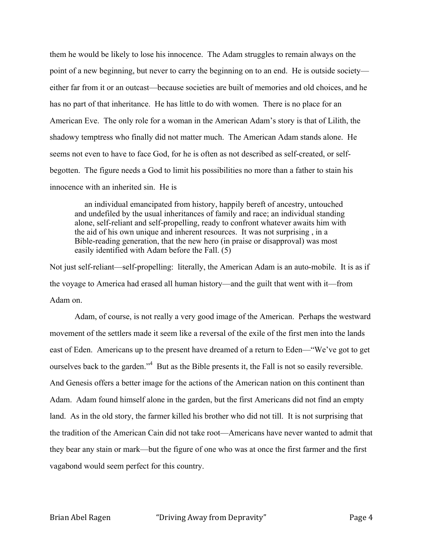them he would be likely to lose his innocence. The Adam struggles to remain always on the point of a new beginning, but never to carry the beginning on to an end. He is outside society either far from it or an outcast—because societies are built of memories and old choices, and he has no part of that inheritance. He has little to do with women. There is no place for an American Eve. The only role for a woman in the American Adam's story is that of Lilith, the shadowy temptress who finally did not matter much. The American Adam stands alone. He seems not even to have to face God, for he is often as not described as self-created, or selfbegotten. The figure needs a God to limit his possibilities no more than a father to stain his innocence with an inherited sin. He is

an individual emancipated from history, happily bereft of ancestry, untouched and undefiled by the usual inheritances of family and race; an individual standing alone, self-reliant and self-propelling, ready to confront whatever awaits him with the aid of his own unique and inherent resources. It was not surprising , in a Bible-reading generation, that the new hero (in praise or disapproval) was most easily identified with Adam before the Fall. (5)

Not just self-reliant—self-propelling: literally, the American Adam is an auto-mobile. It is as if the voyage to America had erased all human history—and the guilt that went with it—from Adam on.

Adam, of course, is not really a very good image of the American. Perhaps the westward movement of the settlers made it seem like a reversal of the exile of the first men into the lands east of Eden. Americans up to the present have dreamed of a return to Eden—"We've got to get ourselves back to the garden."<sup>4</sup> But as the Bible presents it, the Fall is not so easily reversible. And Genesis offers a better image for the actions of the American nation on this continent than Adam. Adam found himself alone in the garden, but the first Americans did not find an empty land. As in the old story, the farmer killed his brother who did not till. It is not surprising that the tradition of the American Cain did not take root—Americans have never wanted to admit that they bear any stain or mark—but the figure of one who was at once the first farmer and the first vagabond would seem perfect for this country.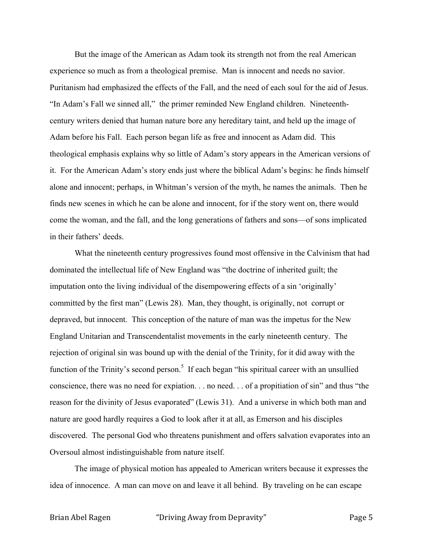But the image of the American as Adam took its strength not from the real American experience so much as from a theological premise. Man is innocent and needs no savior. Puritanism had emphasized the effects of the Fall, and the need of each soul for the aid of Jesus. "In Adam's Fall we sinned all," the primer reminded New England children. Nineteenthcentury writers denied that human nature bore any hereditary taint, and held up the image of Adam before his Fall. Each person began life as free and innocent as Adam did. This theological emphasis explains why so little of Adam's story appears in the American versions of it. For the American Adam's story ends just where the biblical Adam's begins: he finds himself alone and innocent; perhaps, in Whitman's version of the myth, he names the animals. Then he finds new scenes in which he can be alone and innocent, for if the story went on, there would come the woman, and the fall, and the long generations of fathers and sons—of sons implicated in their fathers' deeds.

What the nineteenth century progressives found most offensive in the Calvinism that had dominated the intellectual life of New England was "the doctrine of inherited guilt; the imputation onto the living individual of the disempowering effects of a sin 'originally' committed by the first man" (Lewis 28). Man, they thought, is originally, not corrupt or depraved, but innocent. This conception of the nature of man was the impetus for the New England Unitarian and Transcendentalist movements in the early nineteenth century. The rejection of original sin was bound up with the denial of the Trinity, for it did away with the function of the Trinity's second person.<sup>5</sup> If each began "his spiritual career with an unsullied conscience, there was no need for expiation. . . no need. . . of a propitiation of sin" and thus "the reason for the divinity of Jesus evaporated" (Lewis 31). And a universe in which both man and nature are good hardly requires a God to look after it at all, as Emerson and his disciples discovered. The personal God who threatens punishment and offers salvation evaporates into an Oversoul almost indistinguishable from nature itself.

The image of physical motion has appealed to American writers because it expresses the idea of innocence. A man can move on and leave it all behind. By traveling on he can escape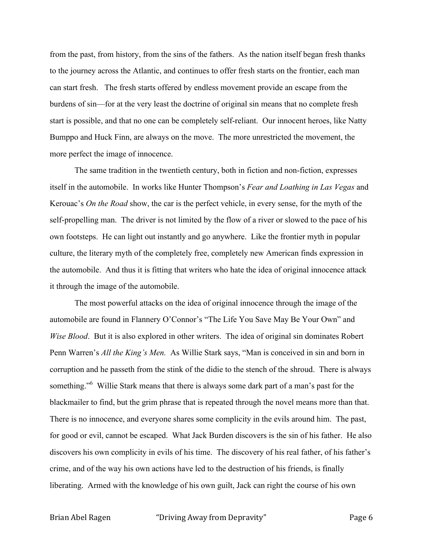from the past, from history, from the sins of the fathers. As the nation itself began fresh thanks to the journey across the Atlantic, and continues to offer fresh starts on the frontier, each man can start fresh. The fresh starts offered by endless movement provide an escape from the burdens of sin—for at the very least the doctrine of original sin means that no complete fresh start is possible, and that no one can be completely self-reliant. Our innocent heroes, like Natty Bumppo and Huck Finn, are always on the move. The more unrestricted the movement, the more perfect the image of innocence.

The same tradition in the twentieth century, both in fiction and non-fiction, expresses itself in the automobile. In works like Hunter Thompson's *Fear and Loathing in Las Vegas* and Kerouac's *On the Road* show, the car is the perfect vehicle, in every sense, for the myth of the self-propelling man. The driver is not limited by the flow of a river or slowed to the pace of his own footsteps. He can light out instantly and go anywhere. Like the frontier myth in popular culture, the literary myth of the completely free, completely new American finds expression in the automobile. And thus it is fitting that writers who hate the idea of original innocence attack it through the image of the automobile.

The most powerful attacks on the idea of original innocence through the image of the automobile are found in Flannery O'Connor's "The Life You Save May Be Your Own" and *Wise Blood*. But it is also explored in other writers. The idea of original sin dominates Robert Penn Warren's *All the King's Men.* As Willie Stark says, "Man is conceived in sin and born in corruption and he passeth from the stink of the didie to the stench of the shroud. There is always something."<sup>6</sup> Willie Stark means that there is always some dark part of a man's past for the blackmailer to find, but the grim phrase that is repeated through the novel means more than that. There is no innocence, and everyone shares some complicity in the evils around him. The past, for good or evil, cannot be escaped. What Jack Burden discovers is the sin of his father. He also discovers his own complicity in evils of his time. The discovery of his real father, of his father's crime, and of the way his own actions have led to the destruction of his friends, is finally liberating. Armed with the knowledge of his own guilt, Jack can right the course of his own

Brian Abel Ragen "Driving Away from Depravity" Page 6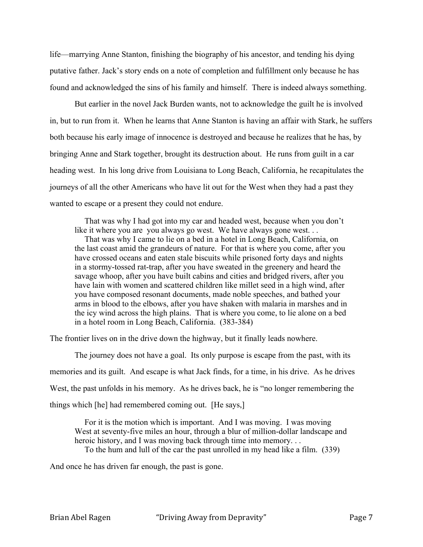life—marrying Anne Stanton, finishing the biography of his ancestor, and tending his dying putative father. Jack's story ends on a note of completion and fulfillment only because he has found and acknowledged the sins of his family and himself. There is indeed always something.

But earlier in the novel Jack Burden wants, not to acknowledge the guilt he is involved in, but to run from it. When he learns that Anne Stanton is having an affair with Stark, he suffers both because his early image of innocence is destroyed and because he realizes that he has, by bringing Anne and Stark together, brought its destruction about. He runs from guilt in a car heading west. In his long drive from Louisiana to Long Beach, California, he recapitulates the journeys of all the other Americans who have lit out for the West when they had a past they wanted to escape or a present they could not endure.

That was why I had got into my car and headed west, because when you don't like it where you are you always go west. We have always gone west...

That was why I came to lie on a bed in a hotel in Long Beach, California, on the last coast amid the grandeurs of nature. For that is where you come, after you have crossed oceans and eaten stale biscuits while prisoned forty days and nights in a stormy-tossed rat-trap, after you have sweated in the greenery and heard the savage whoop, after you have built cabins and cities and bridged rivers, after you have lain with women and scattered children like millet seed in a high wind, after you have composed resonant documents, made noble speeches, and bathed your arms in blood to the elbows, after you have shaken with malaria in marshes and in the icy wind across the high plains. That is where you come, to lie alone on a bed in a hotel room in Long Beach, California. (383-384)

The frontier lives on in the drive down the highway, but it finally leads nowhere.

The journey does not have a goal. Its only purpose is escape from the past, with its memories and its guilt. And escape is what Jack finds, for a time, in his drive. As he drives West, the past unfolds in his memory. As he drives back, he is "no longer remembering the things which [he] had remembered coming out. [He says,]

For it is the motion which is important. And I was moving. I was moving West at seventy-five miles an hour, through a blur of million-dollar landscape and heroic history, and I was moving back through time into memory. . . To the hum and lull of the car the past unrolled in my head like a film. (339)

And once he has driven far enough, the past is gone.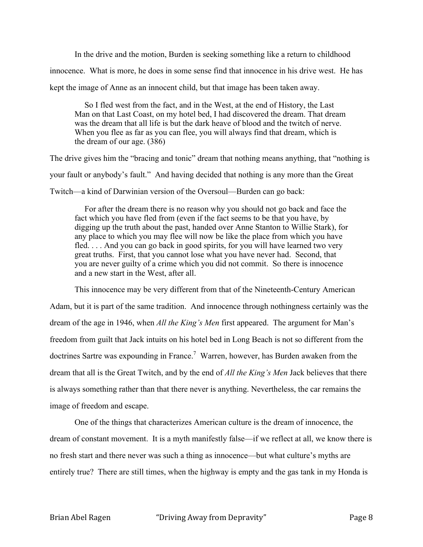In the drive and the motion, Burden is seeking something like a return to childhood innocence. What is more, he does in some sense find that innocence in his drive west. He has kept the image of Anne as an innocent child, but that image has been taken away.

So I fled west from the fact, and in the West, at the end of History, the Last Man on that Last Coast, on my hotel bed, I had discovered the dream. That dream was the dream that all life is but the dark heave of blood and the twitch of nerve. When you flee as far as you can flee, you will always find that dream, which is the dream of our age. (386)

The drive gives him the "bracing and tonic" dream that nothing means anything, that "nothing is your fault or anybody's fault." And having decided that nothing is any more than the Great Twitch—a kind of Darwinian version of the Oversoul—Burden can go back:

For after the dream there is no reason why you should not go back and face the fact which you have fled from (even if the fact seems to be that you have, by digging up the truth about the past, handed over Anne Stanton to Willie Stark), for any place to which you may flee will now be like the place from which you have fled. . . . And you can go back in good spirits, for you will have learned two very great truths. First, that you cannot lose what you have never had. Second, that you are never guilty of a crime which you did not commit. So there is innocence and a new start in the West, after all.

This innocence may be very different from that of the Nineteenth-Century American Adam, but it is part of the same tradition. And innocence through nothingness certainly was the dream of the age in 1946, when *All the King's Men* first appeared. The argument for Man's freedom from guilt that Jack intuits on his hotel bed in Long Beach is not so different from the doctrines Sartre was expounding in France.<sup>7</sup> Warren, however, has Burden awaken from the dream that all is the Great Twitch, and by the end of *All the King's Men* Jack believes that there is always something rather than that there never is anything. Nevertheless, the car remains the image of freedom and escape.

One of the things that characterizes American culture is the dream of innocence, the dream of constant movement. It is a myth manifestly false—if we reflect at all, we know there is no fresh start and there never was such a thing as innocence—but what culture's myths are entirely true? There are still times, when the highway is empty and the gas tank in my Honda is